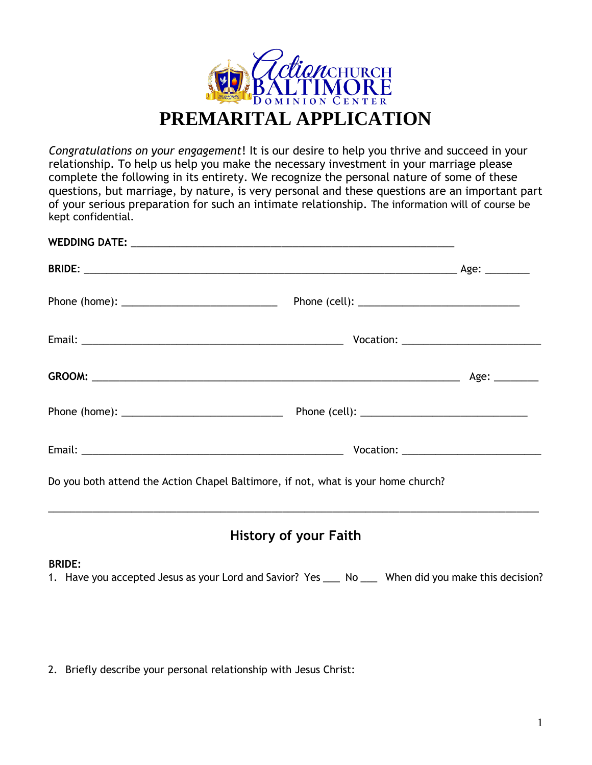

*Congratulations on your engagement*! It is our desire to help you thrive and succeed in your relationship. To help us help you make the necessary investment in your marriage please complete the following in its entirety. We recognize the personal nature of some of these questions, but marriage, by nature, is very personal and these questions are an important part of your serious preparation for such an intimate relationship. The information will of course be kept confidential.

| Do you both attend the Action Chapel Baltimore, if not, what is your home church? |  |
|-----------------------------------------------------------------------------------|--|

#### **BRIDE:**

1. Have you accepted Jesus as your Lord and Savior? Yes \_\_\_ No \_\_\_ When did you make this decision?

2. Briefly describe your personal relationship with Jesus Christ: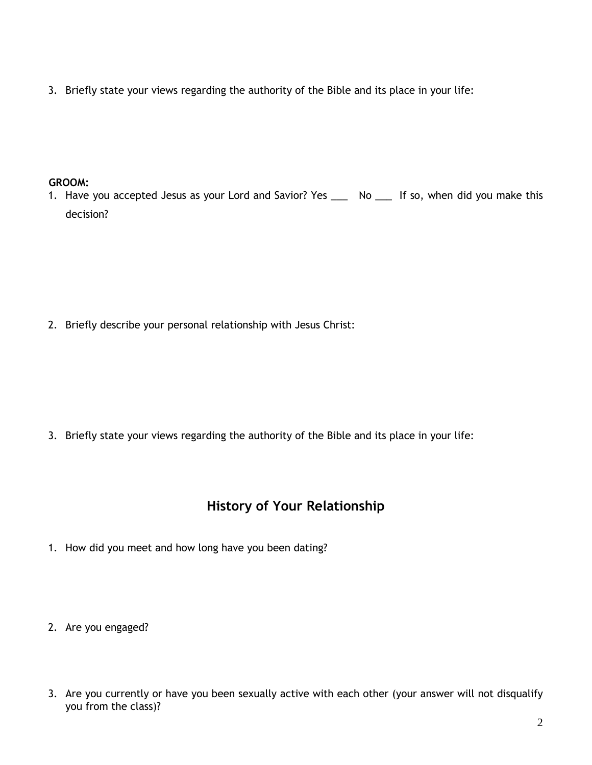3. Briefly state your views regarding the authority of the Bible and its place in your life:

### **GROOM:**

1. Have you accepted Jesus as your Lord and Savior? Yes \_\_\_ No \_\_\_ If so, when did you make this decision?

2. Briefly describe your personal relationship with Jesus Christ:

3. Briefly state your views regarding the authority of the Bible and its place in your life:

# **History of Your Relationship**

- 1. How did you meet and how long have you been dating?
- 2. Are you engaged?
- 3. Are you currently or have you been sexually active with each other (your answer will not disqualify you from the class)?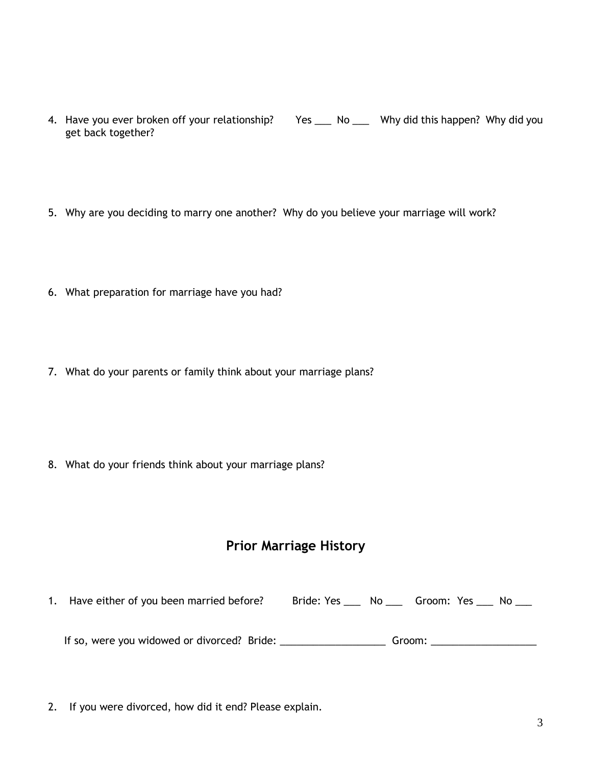- 4. Have you ever broken off your relationship? Yes \_\_\_ No \_\_\_ Why did this happen? Why did you get back together?
- 5. Why are you deciding to marry one another? Why do you believe your marriage will work?
- 6. What preparation for marriage have you had?
- 7. What do your parents or family think about your marriage plans?

8. What do your friends think about your marriage plans?

# **Prior Marriage History**

1. Have either of you been married before? Bride: Yes \_\_\_ No \_\_\_ Groom: Yes \_\_\_ No \_\_\_ If so, were you widowed or divorced? Bride: \_\_\_\_\_\_\_\_\_\_\_\_\_\_\_\_\_\_\_ Groom: \_\_\_\_\_\_\_\_\_\_\_\_\_\_\_\_\_\_\_

2. If you were divorced, how did it end? Please explain.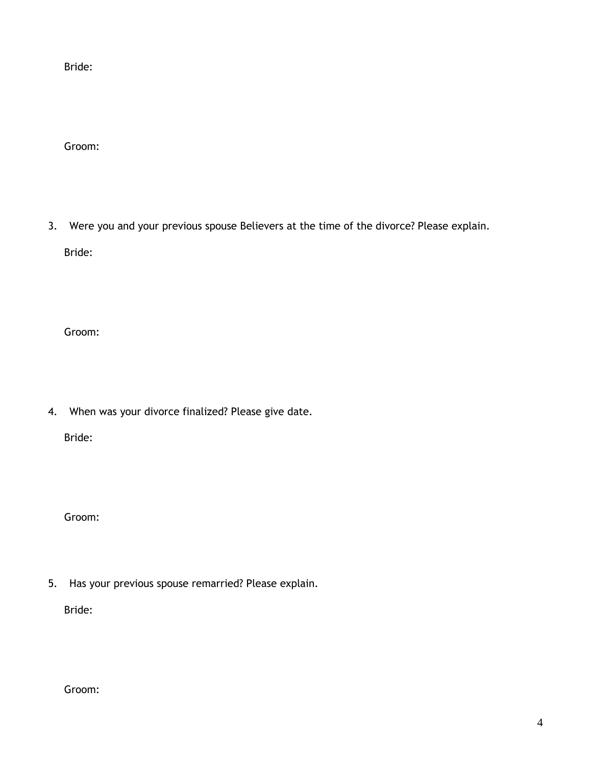Bride:

Groom:

3. Were you and your previous spouse Believers at the time of the divorce? Please explain. Bride:

Groom:

4. When was your divorce finalized? Please give date.

Bride:

Groom:

5. Has your previous spouse remarried? Please explain.

Bride:

Groom: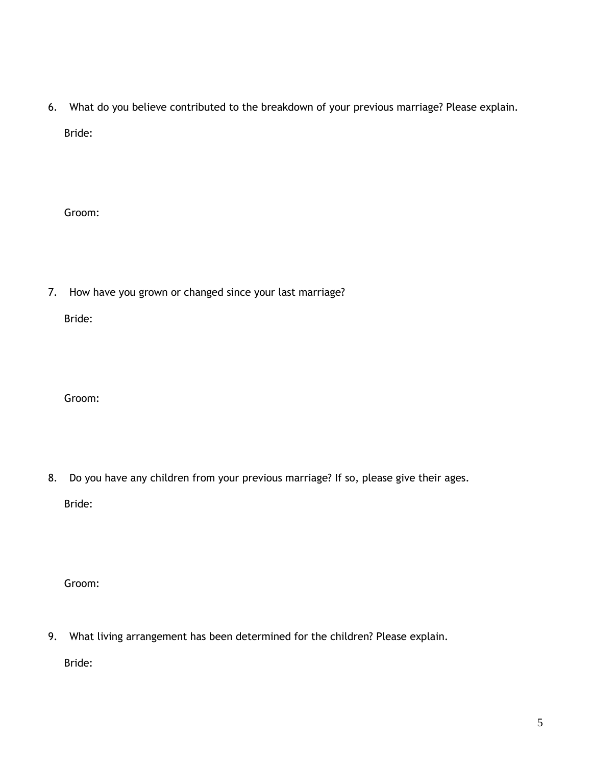6. What do you believe contributed to the breakdown of your previous marriage? Please explain. Bride:

Groom:

7. How have you grown or changed since your last marriage?

Bride:

Groom:

8. Do you have any children from your previous marriage? If so, please give their ages. Bride:

Groom:

9. What living arrangement has been determined for the children? Please explain.

Bride: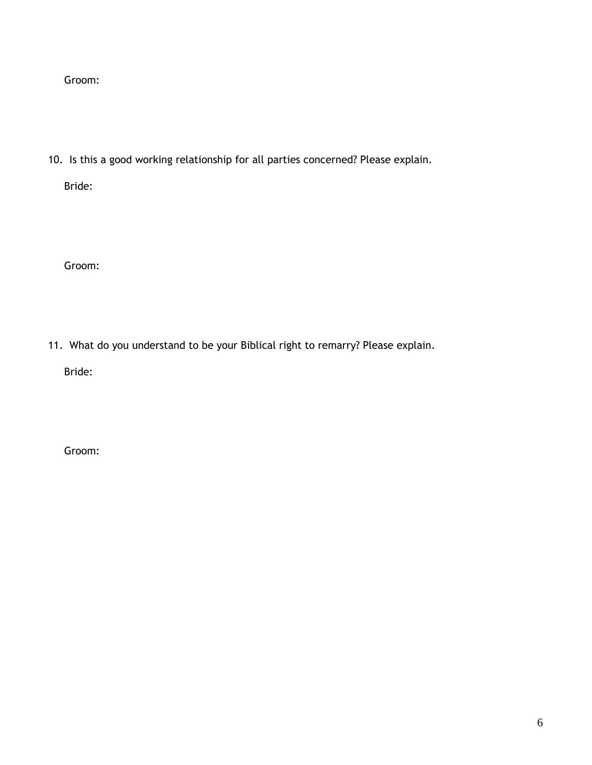Groom:

10. Is this a good working relationship for all parties concerned? Please explain.

Bride:

Groom:

11. What do you understand to be your Biblical right to remarry? Please explain.

Bride:

Groom: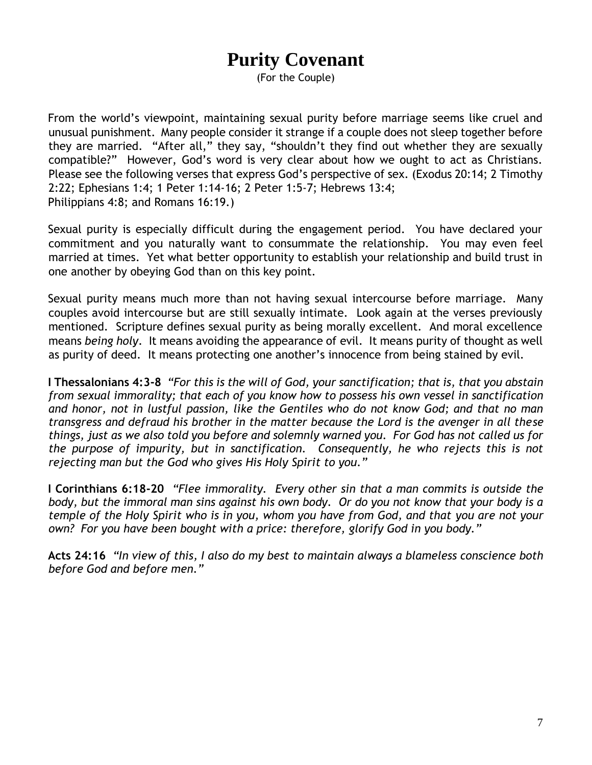# **Purity Covenant**

(For the Couple)

From the world's viewpoint, maintaining sexual purity before marriage seems like cruel and unusual punishment. Many people consider it strange if a couple does not sleep together before they are married. "After all," they say, "shouldn't they find out whether they are sexually compatible?" However, God's word is very clear about how we ought to act as Christians. Please see the following verses that express God's perspective of sex. (Exodus 20:14; 2 Timothy 2:22; Ephesians 1:4; 1 Peter 1:14-16; 2 Peter 1:5-7; Hebrews 13:4; Philippians 4:8; and Romans 16:19.)

Sexual purity is especially difficult during the engagement period. You have declared your commitment and you naturally want to consummate the relationship. You may even feel married at times. Yet what better opportunity to establish your relationship and build trust in one another by obeying God than on this key point.

Sexual purity means much more than not having sexual intercourse before marriage. Many couples avoid intercourse but are still sexually intimate. Look again at the verses previously mentioned. Scripture defines sexual purity as being morally excellent. And moral excellence means *being holy*. It means avoiding the appearance of evil. It means purity of thought as well as purity of deed. It means protecting one another's innocence from being stained by evil.

**I Thessalonians 4:3-8** *"For this is the will of God, your sanctification; that is, that you abstain from sexual immorality; that each of you know how to possess his own vessel in sanctification and honor, not in lustful passion, like the Gentiles who do not know God; and that no man transgress and defraud his brother in the matter because the Lord is the avenger in all these things, just as we also told you before and solemnly warned you. For God has not called us for the purpose of impurity, but in sanctification. Consequently, he who rejects this is not rejecting man but the God who gives His Holy Spirit to you."* 

**I Corinthians 6:18-20** *"Flee immorality. Every other sin that a man commits is outside the body, but the immoral man sins against his own body. Or do you not know that your body is a temple of the Holy Spirit who is in you, whom you have from God, and that you are not your own? For you have been bought with a price: therefore, glorify God in you body."* 

**Acts 24:16** *"In view of this, I also do my best to maintain always a blameless conscience both before God and before men."*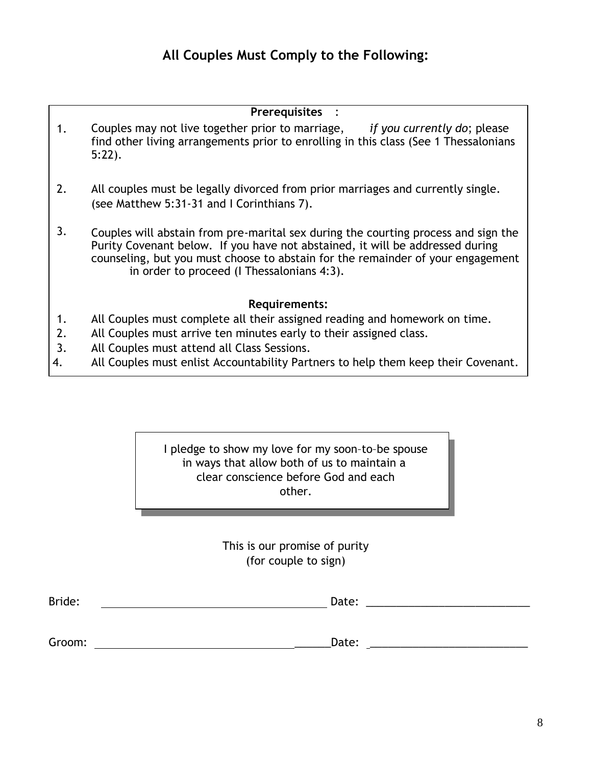## **Prerequisites** :

- 1. Couples may not live together prior to marriage, *if you currently do*; please find other living arrangements prior to enrolling in this class (See 1 Thessalonians 5:22).
- 2. All couples must be legally divorced from prior marriages and currently single. (see Matthew 5:31-31 and I Corinthians 7).
- 3. Couples will abstain from pre-marital sex during the courting process and sign the Purity Covenant below. If you have not abstained, it will be addressed during counseling, but you must choose to abstain for the remainder of your engagement in order to proceed (I Thessalonians 4:3).

## **Requirements:**

- 1. All Couples must complete all their assigned reading and homework on time.
- 2. All Couples must arrive ten minutes early to their assigned class.
- 3. All Couples must attend all Class Sessions.
- 4. All Couples must enlist Accountability Partners to help them keep their Covenant.

I pledge to show my love for my soon–to–be spouse in ways that allow both of us to maintain a clear conscience before God and each other.

> This is our promise of purity (for couple to sign)

| <b>Brio</b><br>- 11<br>$  -$ | acc.<br>_ |  |
|------------------------------|-----------|--|
|                              |           |  |

Groom: \_\_\_\_\_\_Date: \_\_\_\_\_\_\_\_\_\_\_\_\_\_\_\_\_\_\_\_\_\_\_\_\_\_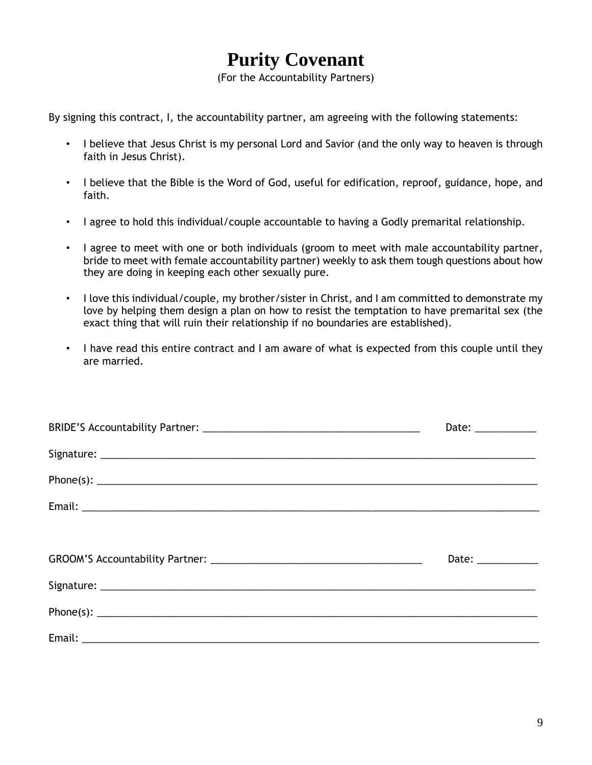# **Purity Covenant**

(For the Accountability Partners)

By signing this contract, I, the accountability partner, am agreeing with the following statements:

- I believe that Jesus Christ is my personal Lord and Savior (and the only way to heaven is through faith in Jesus Christ).
- I believe that the Bible is the Word of God, useful for edification, reproof, guidance, hope, and faith.
- I agree to hold this individual/couple accountable to having a Godly premarital relationship.
- I agree to meet with one or both individuals (groom to meet with male accountability partner, bride to meet with female accountability partner) weekly to ask them tough questions about how they are doing in keeping each other sexually pure.
- I love this individual/couple, my brother/sister in Christ, and I am committed to demonstrate my love by helping them design a plan on how to resist the temptation to have premarital sex (the exact thing that will ruin their relationship if no boundaries are established).
- I have read this entire contract and I am aware of what is expected from this couple until they are married.

| Date: $\frac{1}{\sqrt{1-\frac{1}{2}}}\frac{1}{\sqrt{1-\frac{1}{2}}}\frac{1}{\sqrt{1-\frac{1}{2}}}\frac{1}{\sqrt{1-\frac{1}{2}}}\frac{1}{\sqrt{1-\frac{1}{2}}}\frac{1}{\sqrt{1-\frac{1}{2}}}\frac{1}{\sqrt{1-\frac{1}{2}}}\frac{1}{\sqrt{1-\frac{1}{2}}}\frac{1}{\sqrt{1-\frac{1}{2}}}\frac{1}{\sqrt{1-\frac{1}{2}}}\frac{1}{\sqrt{1-\frac{1}{2}}}\frac{1}{\sqrt{1-\frac{1}{2}}}\frac{1}{\sqrt{1-\frac{1}{2}}}\frac{1}{\$ |
|--------------------------------------------------------------------------------------------------------------------------------------------------------------------------------------------------------------------------------------------------------------------------------------------------------------------------------------------------------------------------------------------------------------------------|
|                                                                                                                                                                                                                                                                                                                                                                                                                          |
|                                                                                                                                                                                                                                                                                                                                                                                                                          |
|                                                                                                                                                                                                                                                                                                                                                                                                                          |
|                                                                                                                                                                                                                                                                                                                                                                                                                          |
| Date: _____________                                                                                                                                                                                                                                                                                                                                                                                                      |
|                                                                                                                                                                                                                                                                                                                                                                                                                          |
|                                                                                                                                                                                                                                                                                                                                                                                                                          |
|                                                                                                                                                                                                                                                                                                                                                                                                                          |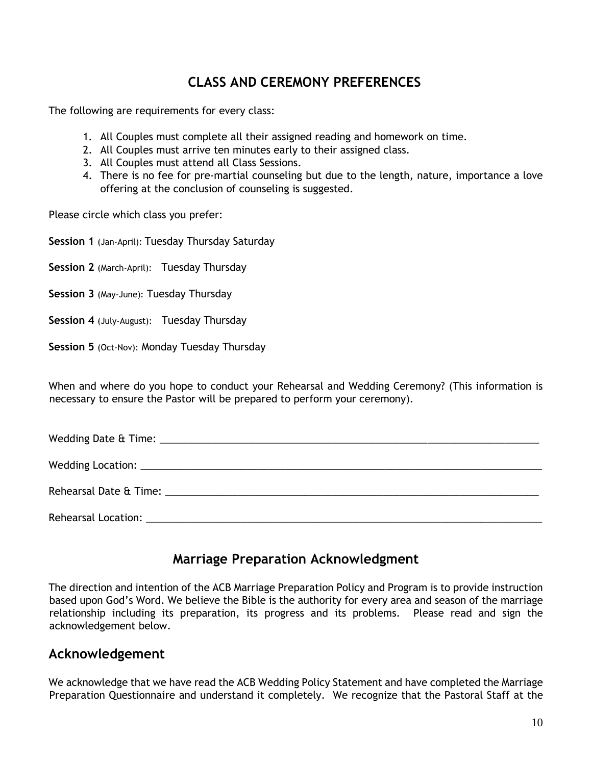# **CLASS AND CEREMONY PREFERENCES**

The following are requirements for every class:

- 1. All Couples must complete all their assigned reading and homework on time.
- 2. All Couples must arrive ten minutes early to their assigned class.
- 3. All Couples must attend all Class Sessions.
- 4. There is no fee for pre-martial counseling but due to the length, nature, importance a love offering at the conclusion of counseling is suggested.

Please circle which class you prefer:

**Session 1** (Jan-April): Tuesday Thursday Saturday

**Session 2** (March-April): Tuesday Thursday

**Session 3** (May-June): Tuesday Thursday

- **Session 4** (July-August): Tuesday Thursday
- **Session 5** (Oct-Nov): Monday Tuesday Thursday

When and where do you hope to conduct your Rehearsal and Wedding Ceremony? (This information is necessary to ensure the Pastor will be prepared to perform your ceremony).

| Rehearsal Location: New York and Separate and Separate and Separate and Separate and Separate and Separate and |
|----------------------------------------------------------------------------------------------------------------|

# **Marriage Preparation Acknowledgment**

The direction and intention of the ACB Marriage Preparation Policy and Program is to provide instruction based upon God's Word. We believe the Bible is the authority for every area and season of the marriage relationship including its preparation, its progress and its problems. Please read and sign the acknowledgement below.

## **Acknowledgement**

We acknowledge that we have read the ACB Wedding Policy Statement and have completed the Marriage Preparation Questionnaire and understand it completely. We recognize that the Pastoral Staff at the